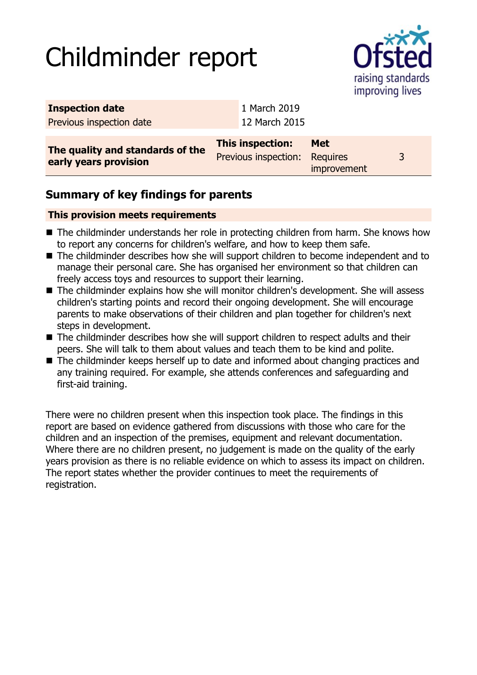# Childminder report



| <b>Inspection date</b>                                    | 1 March 2019                                      |             |   |
|-----------------------------------------------------------|---------------------------------------------------|-------------|---|
| Previous inspection date                                  | 12 March 2015                                     |             |   |
| The quality and standards of the<br>early years provision | This inspection:<br>Previous inspection: Requires | <b>Met</b>  | 3 |
|                                                           |                                                   | improvement |   |

## **Summary of key findings for parents**

#### **This provision meets requirements**

- The childminder understands her role in protecting children from harm. She knows how to report any concerns for children's welfare, and how to keep them safe.
- The childminder describes how she will support children to become independent and to manage their personal care. She has organised her environment so that children can freely access toys and resources to support their learning.
- The childminder explains how she will monitor children's development. She will assess children's starting points and record their ongoing development. She will encourage parents to make observations of their children and plan together for children's next steps in development.
- The childminder describes how she will support children to respect adults and their peers. She will talk to them about values and teach them to be kind and polite.
- $\blacksquare$  The childminder keeps herself up to date and informed about changing practices and any training required. For example, she attends conferences and safeguarding and first-aid training.

There were no children present when this inspection took place. The findings in this report are based on evidence gathered from discussions with those who care for the children and an inspection of the premises, equipment and relevant documentation. Where there are no children present, no judgement is made on the quality of the early years provision as there is no reliable evidence on which to assess its impact on children. The report states whether the provider continues to meet the requirements of registration.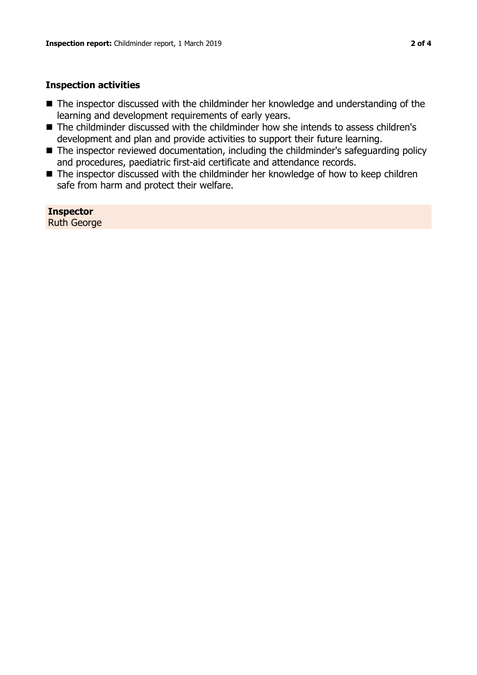#### **Inspection activities**

- $\blacksquare$  The inspector discussed with the childminder her knowledge and understanding of the learning and development requirements of early years.
- The childminder discussed with the childminder how she intends to assess children's development and plan and provide activities to support their future learning.
- The inspector reviewed documentation, including the childminder's safeguarding policy and procedures, paediatric first-aid certificate and attendance records.
- The inspector discussed with the childminder her knowledge of how to keep children safe from harm and protect their welfare.

**Inspector** Ruth George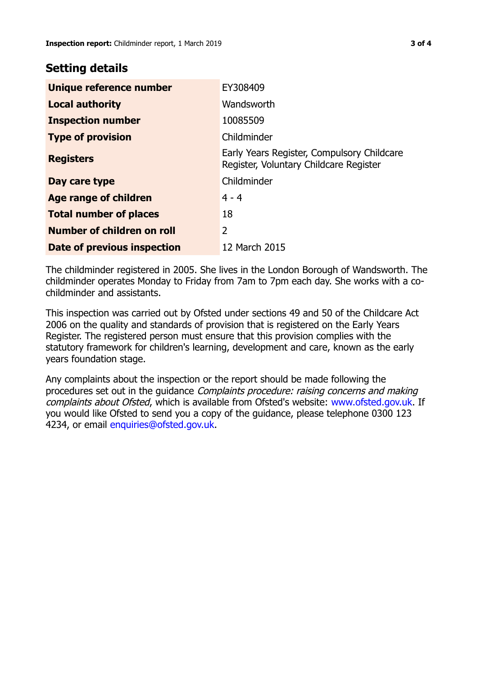### **Setting details**

| Unique reference number       | EY308409                                                                             |
|-------------------------------|--------------------------------------------------------------------------------------|
| <b>Local authority</b>        | Wandsworth                                                                           |
| <b>Inspection number</b>      | 10085509                                                                             |
| <b>Type of provision</b>      | Childminder                                                                          |
| <b>Registers</b>              | Early Years Register, Compulsory Childcare<br>Register, Voluntary Childcare Register |
| Day care type                 | Childminder                                                                          |
| Age range of children         | $4 - 4$                                                                              |
| <b>Total number of places</b> | 18                                                                                   |
| Number of children on roll    | $\overline{2}$                                                                       |
| Date of previous inspection   | 12 March 2015                                                                        |

The childminder registered in 2005. She lives in the London Borough of Wandsworth. The childminder operates Monday to Friday from 7am to 7pm each day. She works with a cochildminder and assistants.

This inspection was carried out by Ofsted under sections 49 and 50 of the Childcare Act 2006 on the quality and standards of provision that is registered on the Early Years Register. The registered person must ensure that this provision complies with the statutory framework for children's learning, development and care, known as the early years foundation stage.

Any complaints about the inspection or the report should be made following the procedures set out in the guidance Complaints procedure: raising concerns and making complaints about Ofsted, which is available from Ofsted's website: www.ofsted.gov.uk. If you would like Ofsted to send you a copy of the guidance, please telephone 0300 123 4234, or email [enquiries@ofsted.gov.uk.](mailto:enquiries@ofsted.gov.uk)